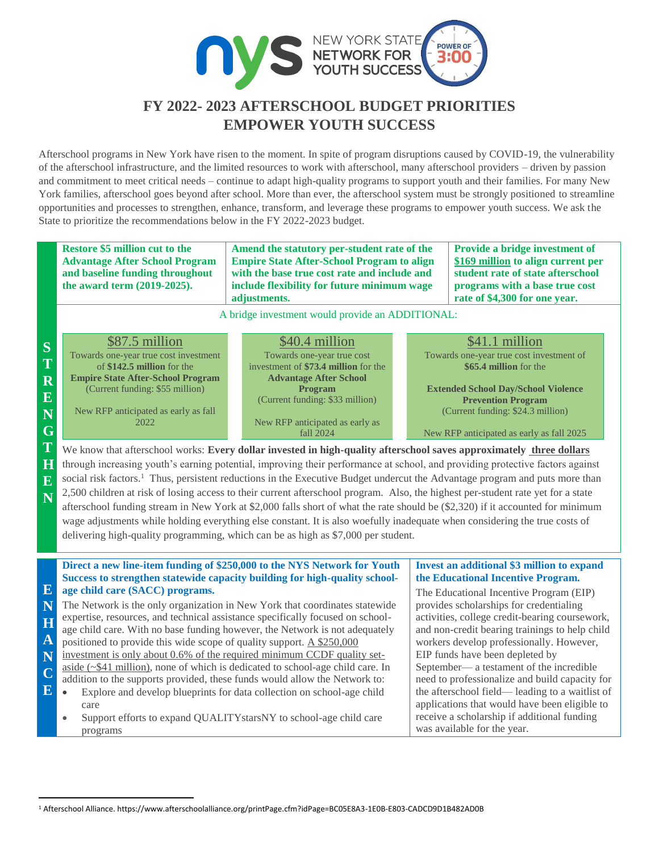

## **FY 2022- 2023 AFTERSCHOOL BUDGET PRIORITIES EMPOWER YOUTH SUCCESS**

Afterschool programs in New York have risen to the moment. In spite of program disruptions caused by COVID-19, the vulnerability of the afterschool infrastructure, and the limited resources to work with afterschool, many afterschool providers – driven by passion and commitment to meet critical needs – continue to adapt high-quality programs to support youth and their families. For many New York families, afterschool goes beyond after school. More than ever, the afterschool system must be strongly positioned to streamline opportunities and processes to strengthen, enhance, transform, and leverage these programs to empower youth success. We ask the State to prioritize the recommendations below in the FY 2022-2023 budget.

**S T R E N G T H E N Restore \$5 million cut to the Advantage After School Program and baseline funding throughout the award term (2019-2025). Amend the statutory per-student rate of the Empire State After-School Program to align with the base true cost rate and include and include flexibility for future minimum wage adjustments. Provide a bridge investment of \$169 million to align current per student rate of state afterschool programs with a base true cost rate of \$4,300 for one year.** A bridge investment would provide an ADDITIONAL: \$87.5 million Towards one-year true cost investment of **\$142.5 million** for the **Empire State After-School Program** (Current funding: \$55 million) New RFP anticipated as early as fall 2022 \$40.4 million Towards one-year true cost investment of **\$73.4 million** for the **Advantage After School Program** (Current funding: \$33 million) New RFP anticipated as early as fall 2024 \$41.1 million Towards one-year true cost investment of **\$65.4 million** for the **Extended School Day/School Violence Prevention Program** (Current funding: \$24.3 million) New RFP anticipated as early as fall 2025 We know that afterschool works: Every dollar invested in high-quality afterschool saves approximately three dollars through increasing youth's earning potential, improving their performance at school, and providing protective factors against social risk factors.<sup>1</sup> Thus, persistent reductions in the Executive Budget undercut the Advantage program and puts more than 2,500 children at risk of losing access to their current afterschool program.Also, the highest per-student rate yet for a state afterschool funding stream in New York at \$2,000 falls short of what the rate should be (\$2,320) if it accounted for minimum wage adjustments while holding everything else constant. It is also woefully inadequate when considering the true costs of delivering high-quality programming, which can be as high as \$7,000 per student. **E N H A N C E Direct a new line-item funding of \$250,000 to the NYS Network for Youth Success to strengthen statewide capacity building for high-quality schoolage child care (SACC) programs.**  The Network is the only organization in New York that coordinates statewide expertise, resources, and technical assistance specifically focused on schoolage child care. With no base funding however, the Network is not adequately positioned to provide this wide scope of quality support. A \$250,000 investment is only about 0.6% of the required minimum CCDF quality setaside (~\$41 million), none of which is dedicated to school-age child care. In addition to the supports provided, these funds would allow the Network to: Explore and develop blueprints for data collection on school-age child care Support efforts to expand QUALITYstarsNY to school-age child care programs **Invest an additional \$3 million to expand the Educational Incentive Program.** The Educational Incentive Program (EIP) provides scholarships for credentialing activities, college credit-bearing coursework, and non-credit bearing trainings to help child workers develop professionally. However, EIP funds have been depleted by September— a testament of the incredible need to professionalize and build capacity for the afterschool field— leading to a waitlist of applications that would have been eligible to receive a scholarship if additional funding was available for the year.

l

<sup>1</sup> Afterschool Alliance. https://www.afterschoolalliance.org/printPage.cfm?idPage=BC05E8A3-1E0B-E803-CADCD9D1B482AD0B